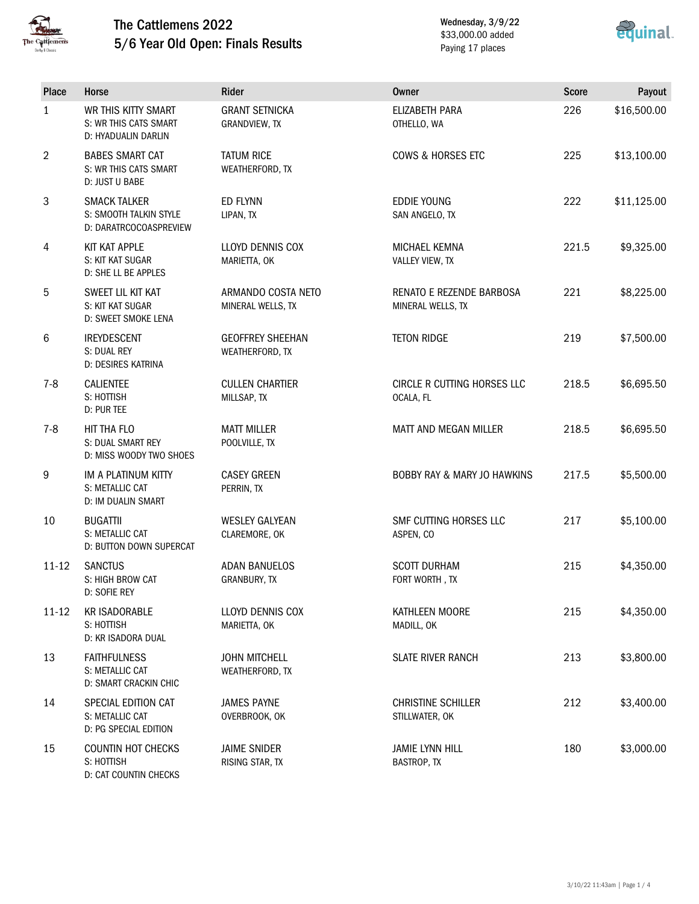

## The Cattlemens 2022 5/6 Year Old Open: Finals Results

D: CAT COUNTIN CHECKS

Wednesday, 3/9/22 \$33,000.00 added Paying 17 places



| <b>Place</b> | Horse                                                                   | Rider                                      | <b>Owner</b>                                    | <b>Score</b> | Payout      |
|--------------|-------------------------------------------------------------------------|--------------------------------------------|-------------------------------------------------|--------------|-------------|
| $\mathbf{1}$ | WR THIS KITTY SMART<br>S: WR THIS CATS SMART<br>D: HYADUALIN DARLIN     | <b>GRANT SETNICKA</b><br>GRANDVIEW, TX     | ELIZABETH PARA<br>OTHELLO, WA                   | 226          | \$16,500.00 |
| 2            | <b>BABES SMART CAT</b><br>S: WR THIS CATS SMART<br>D: JUST U BABE       | <b>TATUM RICE</b><br>WEATHERFORD, TX       | <b>COWS &amp; HORSES ETC</b>                    | 225          | \$13,100.00 |
| 3            | <b>SMACK TALKER</b><br>S: SMOOTH TALKIN STYLE<br>D: DARATRCOCOASPREVIEW | <b>ED FLYNN</b><br>LIPAN, TX               | <b>EDDIE YOUNG</b><br>SAN ANGELO, TX            | 222          | \$11,125.00 |
| 4            | KIT KAT APPLE<br>S: KIT KAT SUGAR<br>D: SHE LL BE APPLES                | LLOYD DENNIS COX<br>MARIETTA, OK           | <b>MICHAEL KEMNA</b><br>VALLEY VIEW, TX         | 221.5        | \$9,325.00  |
| 5            | SWEET LIL KIT KAT<br>S: KIT KAT SUGAR<br>D: SWEET SMOKE LENA            | ARMANDO COSTA NETO<br>MINERAL WELLS, TX    | RENATO E REZENDE BARBOSA<br>MINERAL WELLS, TX   | 221          | \$8,225.00  |
| 6            | <b>IREYDESCENT</b><br>S: DUAL REY<br>D: DESIRES KATRINA                 | <b>GEOFFREY SHEEHAN</b><br>WEATHERFORD, TX | <b>TETON RIDGE</b>                              | 219          | \$7,500.00  |
| $7 - 8$      | <b>CALIENTEE</b><br>S: HOTTISH<br>D: PUR TEE                            | <b>CULLEN CHARTIER</b><br>MILLSAP, TX      | <b>CIRCLE R CUTTING HORSES LLC</b><br>OCALA, FL | 218.5        | \$6,695.50  |
| $7 - 8$      | HIT THA FLO<br><b>S: DUAL SMART REY</b><br>D: MISS WOODY TWO SHOES      | <b>MATT MILLER</b><br>POOLVILLE, TX        | MATT AND MEGAN MILLER                           | 218.5        | \$6,695.50  |
| 9            | IM A PLATINUM KITTY<br>S: METALLIC CAT<br>D: IM DUALIN SMART            | <b>CASEY GREEN</b><br>PERRIN, TX           | <b>BOBBY RAY &amp; MARY JO HAWKINS</b>          | 217.5        | \$5,500.00  |
| 10           | <b>BUGATTII</b><br>S: METALLIC CAT<br><b>D: BUTTON DOWN SUPERCAT</b>    | <b>WESLEY GALYEAN</b><br>CLAREMORE, OK     | SMF CUTTING HORSES LLC<br>ASPEN, CO             | 217          | \$5,100.00  |
| $11 - 12$    | <b>SANCTUS</b><br>S: HIGH BROW CAT<br>D: SOFIE REY                      | <b>ADAN BANUELOS</b><br>GRANBURY, TX       | <b>SCOTT DURHAM</b><br>FORT WORTH, TX           | 215          | \$4,350.00  |
| $11 - 12$    | <b>KR ISADORABLE</b><br>S: HOTTISH<br>D: KR ISADORA DUAL                | LLOYD DENNIS COX<br>MARIETTA, OK           | KATHLEEN MOORE<br>MADILL, OK                    | 215          | \$4,350.00  |
| 13           | <b>FAITHFULNESS</b><br>S: METALLIC CAT<br>D: SMART CRACKIN CHIC         | <b>JOHN MITCHELL</b><br>WEATHERFORD, TX    | <b>SLATE RIVER RANCH</b>                        | 213          | \$3,800.00  |
| 14           | SPECIAL EDITION CAT<br>S: METALLIC CAT<br>D: PG SPECIAL EDITION         | <b>JAMES PAYNE</b><br>OVERBROOK, OK        | <b>CHRISTINE SCHILLER</b><br>STILLWATER, OK     | 212          | \$3,400.00  |
| 15           | <b>COUNTIN HOT CHECKS</b><br>S: HOTTISH                                 | <b>JAIME SNIDER</b><br>RISING STAR, TX     | <b>JAMIE LYNN HILL</b><br><b>BASTROP, TX</b>    | 180          | \$3,000.00  |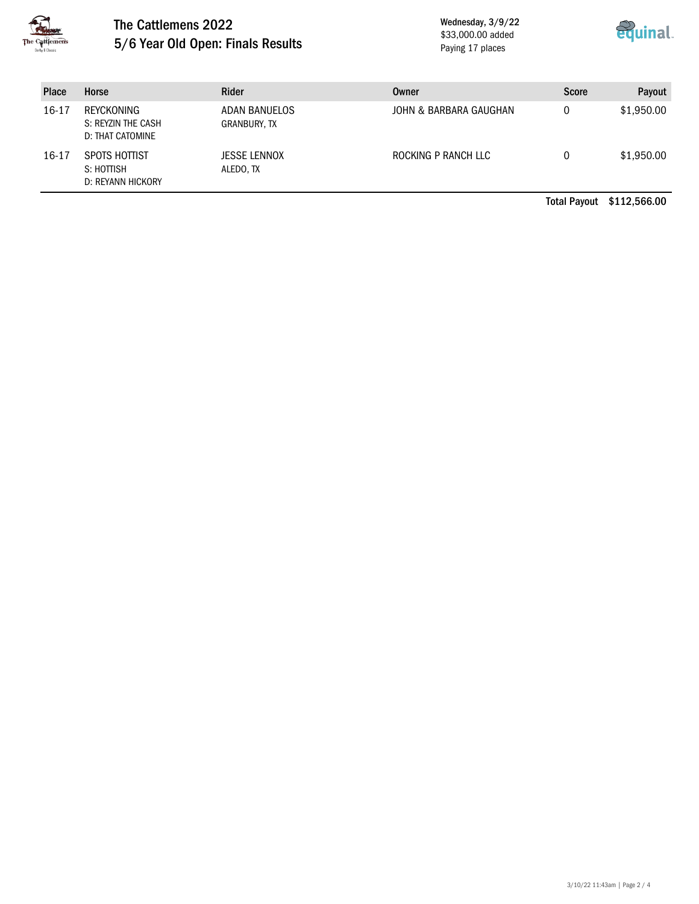

## The Cattlemens 2022 5/6 Year Old Open: Finals Results

Wednesday, 3/9/22 \$33,000.00 added Paying 17 places



| <b>Place</b> | Horse                                                | Rider                         | Owner                  | <b>Score</b> | Payout     |
|--------------|------------------------------------------------------|-------------------------------|------------------------|--------------|------------|
| $16 - 17$    | REYCKONING<br>S: REYZIN THE CASH<br>D: THAT CATOMINE | ADAN BANUELOS<br>GRANBURY, TX | JOHN & BARBARA GAUGHAN | 0            | \$1,950.00 |
| $16 - 17$    | SPOTS HOTTIST<br>S: HOTTISH<br>D: REYANN HICKORY     | JESSE LENNOX<br>ALEDO, TX     | ROCKING P RANCH LLC    | 0            | \$1,950.00 |

Total Payout \$112,566.00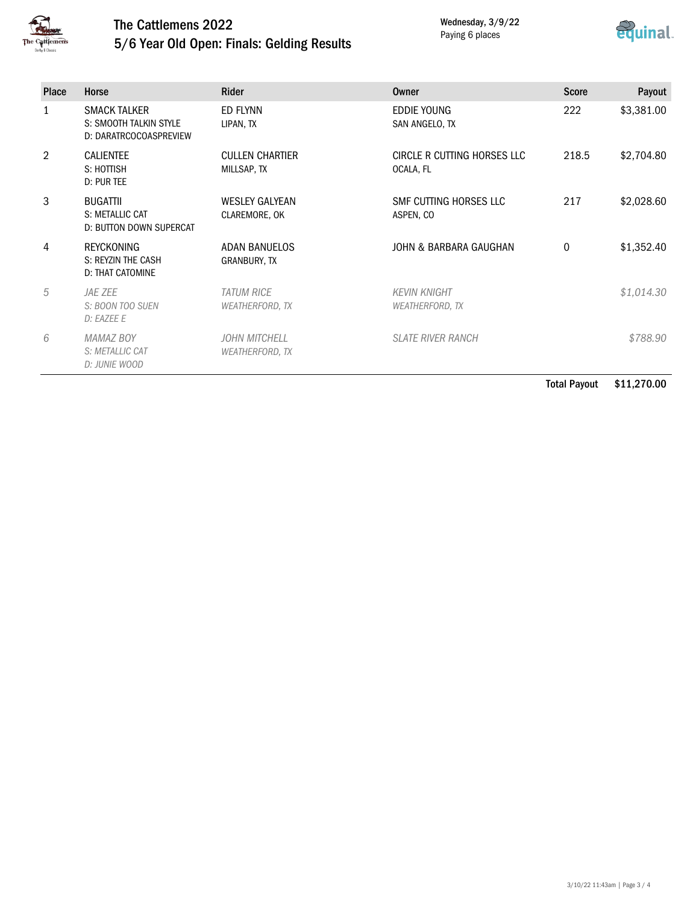

## The Cattlemens 2022 5/6 Year Old Open: Finals: Gelding Results

Wednesday, 3/9/22 Paying 6 places



| <b>Place</b>   | Horse                                                                   | <b>Rider</b>                                   | Owner                                         | <b>Score</b> | Payout     |
|----------------|-------------------------------------------------------------------------|------------------------------------------------|-----------------------------------------------|--------------|------------|
| 1              | <b>SMACK TALKER</b><br>S: SMOOTH TALKIN STYLE<br>D: DARATRCOCOASPREVIEW | ED FLYNN<br>LIPAN, TX                          | EDDIE YOUNG<br>SAN ANGELO, TX                 | 222          | \$3,381.00 |
| $\mathfrak{D}$ | <b>CALIENTEE</b><br>S: HOTTISH<br>D: PUR TEE                            | <b>CULLEN CHARTIER</b><br>MILLSAP, TX          | CIRCLE R CUTTING HORSES LLC<br>OCALA, FL      | 218.5        | \$2,704.80 |
| 3              | <b>BUGATTII</b><br>S: METALLIC CAT<br>D: BUTTON DOWN SUPERCAT           | <b>WESLEY GALYEAN</b><br>CLAREMORE, OK         | SMF CUTTING HORSES LLC<br>ASPEN, CO           | 217          | \$2,028.60 |
| 4              | <b>REYCKONING</b><br>S: REYZIN THE CASH<br><b>D: THAT CATOMINE</b>      | <b>ADAN BANUELOS</b><br><b>GRANBURY, TX</b>    | JOHN & BARBARA GAUGHAN                        | 0            | \$1,352.40 |
| 5              | <i>JAE ZEE</i><br>S: BOON TOO SUEN<br>D: EAZEE E                        | <b>TATUM RICE</b><br><b>WEATHERFORD, TX</b>    | <b>KEVIN KNIGHT</b><br><b>WEATHERFORD, TX</b> |              | \$1,014.30 |
| 6              | <b>MAMAZ BOY</b><br>S: METALLIC CAT<br>D: JUNIE WOOD                    | <b>JOHN MITCHELL</b><br><b>WEATHERFORD, TX</b> | <b>SLATE RIVER RANCH</b>                      |              | \$788.90   |

Total Payout \$11,270.00